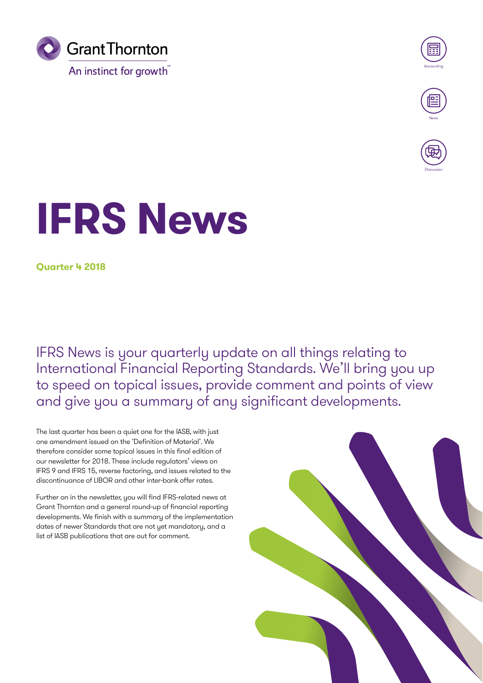



**Discussion** 

# **IFRS News**

**Quarter 4 2018**

IFRS News is your quarterly update on all things relating to International Financial Reporting Standards. We'll bring you up to speed on topical issues, provide comment and points of view and give you a summary of any significant developments.

The last quarter has been a quiet one for the IASB, with just one amendment issued on the 'Definition of Material'. We therefore consider some topical issues in this final edition of our newsletter for 2018. These include regulators' views on IFRS 9 and IFRS 15, reverse factoring, and issues related to the discontinuance of LIBOR and other inter-bank offer rates.

Further on in the newsletter, you will find IFRS-related news at Grant Thornton and a general round-up of financial reporting developments. We finish with a summary of the implementation dates of newer Standards that are not yet mandatory, and a list of IASB publications that are out for comment.

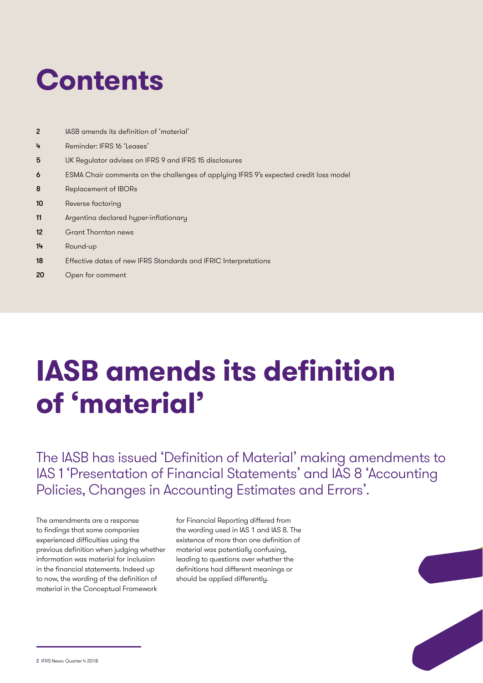## **Contents**

- 2 IASB amends its definition of 'material'
- 4 Reminder: IFRS 16 'Leases'
- 5 UK Regulator advises on IFRS 9 and IFRS 15 disclosures
- 6 ESMA Chair comments on the challenges of applying IFRS 9's expected credit loss model
- 8 Replacement of IBORs
- 10 Reverse factoring
- 11 Argentina declared hyper-inflationary
- 12 Grant Thornton news
- 14 Round-up
- 18 Effective dates of new IFRS Standards and IFRIC Interpretations
- 20 Open for comment

## **IASB amends its definition of 'material'**

The IASB has issued 'Definition of Material' making amendments to IAS 1 'Presentation of Financial Statements' and IAS 8 'Accounting Policies, Changes in Accounting Estimates and Errors'.

The amendments are a response to findings that some companies experienced difficulties using the previous definition when judging whether information was material for inclusion in the financial statements. Indeed up to now, the wording of the definition of material in the Conceptual Framework

for Financial Reporting differed from the wording used in IAS 1 and IAS 8. The existence of more than one definition of material was potentially confusing, leading to questions over whether the definitions had different meanings or should be applied differently.

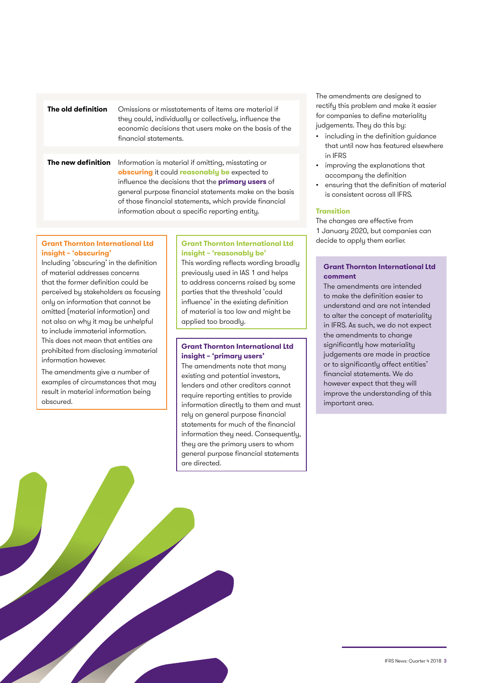| The old definition | Omissions or misstatements of items are material if<br>they could, individually or collectively, influence the<br>economic decisions that users make on the basis of the<br>financial statements. |  |
|--------------------|---------------------------------------------------------------------------------------------------------------------------------------------------------------------------------------------------|--|
|                    |                                                                                                                                                                                                   |  |
|                    | . The set of the set of the set of the set of $\mathcal{A}$                                                                                                                                       |  |

**The new definition** Information is material if omitting, misstating or **obscuring** it could **reasonably be** expected to influence the decisions that the **primary users** of general purpose financial statements make on the basis of those financial statements, which provide financial information about a specific reporting entity.

#### **Grant Thornton International Ltd insight – 'obscuring'**

Including 'obscuring' in the definition of material addresses concerns that the former definition could be perceived by stakeholders as focusing only on information that cannot be omitted (material information) and not also on why it may be unhelpful to include immaterial information. This does not mean that entities are prohibited from disclosing immaterial information however.

The amendments give a number of examples of circumstances that may result in material information being obscured.

#### **Grant Thornton International Ltd insight – 'reasonably be'**

This wording reflects wording broadly previously used in IAS 1 and helps to address concerns raised by some parties that the threshold 'could influence' in the existing definition of material is too low and might be applied too broadly.

#### **Grant Thornton International Ltd insight – 'primary users'**

The amendments note that many existing and potential investors, lenders and other creditors cannot require reporting entities to provide information directly to them and must rely on general purpose financial statements for much of the financial information they need. Consequently, they are the primary users to whom general purpose financial statements are directed.

The amendments are designed to rectify this problem and make it easier for companies to define materiality judgements. They do this by:

- including in the definition guidance that until now has featured elsewhere in IFRS
- improving the explanations that accompany the definition
- ensuring that the definition of material is consistent across all IFRS.

#### **Transition**

The changes are effective from 1 January 2020, but companies can decide to apply them earlier.

#### **Grant Thornton International Ltd comment**

The amendments are intended to make the definition easier to understand and are not intended to alter the concept of materiality in IFRS. As such, we do not expect the amendments to change significantly how materiality judgements are made in practice or to significantly affect entities' financial statements. We do however expect that they will improve the understanding of this important area.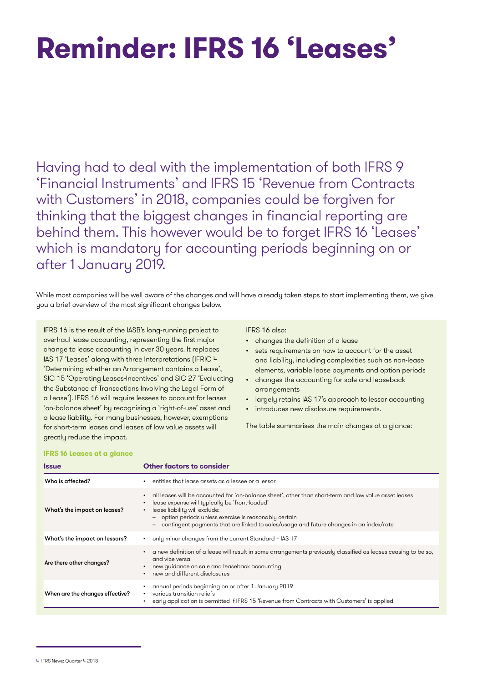## **Reminder: IFRS 16 'Leases'**

Having had to deal with the implementation of both IFRS 9 'Financial Instruments' and IFRS 15 'Revenue from Contracts with Customers' in 2018, companies could be forgiven for thinking that the biggest changes in financial reporting are behind them. This however would be to forget IFRS 16 'Leases' which is mandatory for accounting periods beginning on or after 1 January 2019.

While most companies will be well aware of the changes and will have already taken steps to start implementing them, we give you a brief overview of the most significant changes below.

IFRS 16 is the result of the IASB's long-running project to overhaul lease accounting, representing the first major change to lease accounting in over 30 years. It replaces IAS 17 'Leases' along with three Interpretations (IFRIC 4 'Determining whether an Arrangement contains a Lease', SIC 15 'Operating Leases-Incentives' and SIC 27 'Evaluating the Substance of Transactions Involving the Legal Form of a Lease'). IFRS 16 will require lessees to account for leases 'on-balance sheet' by recognising a 'right-of-use' asset and a lease liability. For many businesses, however, exemptions for short-term leases and leases of low value assets will greatly reduce the impact.

#### IFRS 16 also:

- changes the definition of a lease
- sets requirements on how to account for the asset and liability, including complexities such as non-lease elements, variable lease payments and option periods
- changes the accounting for sale and leaseback arrangements
- largely retains IAS 17's approach to lessor accounting
- introduces new disclosure requirements.

The table summarises the main changes at a glance:

#### **IFRS 16 Leases at a glance**

| <b>Issue</b>                    | <b>Other factors to consider</b>                                                                                                                                                                                                                                                                                                                          |
|---------------------------------|-----------------------------------------------------------------------------------------------------------------------------------------------------------------------------------------------------------------------------------------------------------------------------------------------------------------------------------------------------------|
| Who is affected?                | entities that lease assets as a lessee or a lessor                                                                                                                                                                                                                                                                                                        |
| What's the impact on leases?    | all leases will be accounted for 'on-balance sheet', other than short-term and low value asset leases<br>lease expense will typically be 'front-loaded'<br>lease liability will exclude:<br>$\bullet$<br>- option periods unless exercise is reasonably certain<br>contingent payments that are linked to sales/usage and future changes in an index/rate |
| What's the impact on lessors?   | only minor changes from the current Standard - IAS 17<br>$\bullet$                                                                                                                                                                                                                                                                                        |
| Are there other changes?        | a new definition of a lease will result in some arrangements previously classified as leases ceasing to be so,<br>and vice versa<br>new guidance on sale and leaseback accounting<br>new and different disclosures                                                                                                                                        |
| When are the changes effective? | annual periods beginning on or after 1 January 2019<br>various transition reliefs<br>$\bullet$<br>early application is permitted if IFRS 15 'Revenue from Contracts with Customers' is applied                                                                                                                                                            |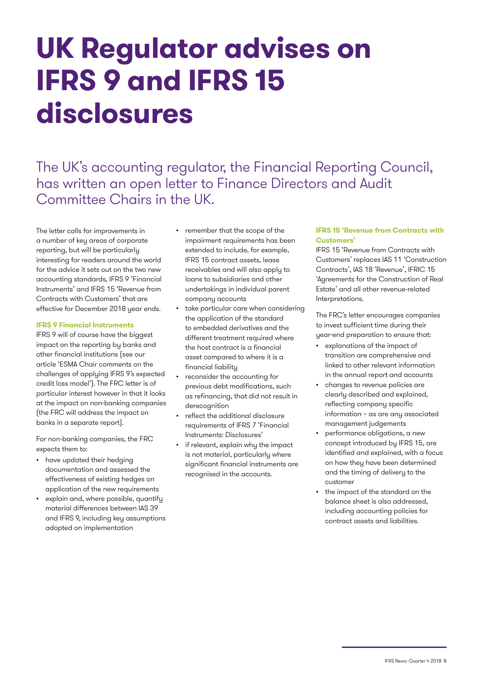## **UK Regulator advises on IFRS 9 and IFRS 15 disclosures**

The UK's accounting regulator, the Financial Reporting Council, has written an open letter to Finance Directors and Audit Committee Chairs in the UK.

The letter calls for improvements in a number of key areas of corporate reporting, but will be particularly interesting for readers around the world for the advice it sets out on the two new accounting standards, IFRS 9 'Financial Instruments' and IFRS 15 'Revenue from Contracts with Customers' that are effective for December 2018 year ends.

#### **IFRS 9 Financial Instruments**

IFRS 9 will of course have the biggest impact on the reporting by banks and other financial institutions (see our article 'ESMA Chair comments on the challenges of applying IFRS 9's expected credit loss model'). The FRC letter is of particular interest however in that it looks at the impact on non-banking companies (the FRC will address the impact on banks in a separate report).

For non-banking companies, the FRC expects them to:

- have updated their hedging documentation and assessed the effectiveness of existing hedges on application of the new requirements
- explain and, where possible, quantify material differences between IAS 39 and IFRS 9, including key assumptions adopted on implementation
- remember that the scope of the impairment requirements has been extended to include, for example, IFRS 15 contract assets, lease receivables and will also apply to loans to subsidiaries and other undertakings in individual parent company accounts
- take particular care when considering the application of the standard to embedded derivatives and the different treatment required where the host contract is a financial asset compared to where it is a financial liability
- reconsider the accounting for previous debt modifications, such as refinancing, that did not result in derecognition
- reflect the additional disclosure requirements of IFRS 7 'Financial Instruments: Disclosures'
- if relevant, explain why the impact is not material, particularly where significant financial instruments are recognised in the accounts.

#### **IFRS 15 'Revenue from Contracts with Customers'**

IFRS 15 'Revenue from Contracts with Customers' replaces IAS 11 'Construction Contracts', IAS 18 'Revenue', IFRIC 15 'Agreements for the Construction of Real Estate' and all other revenue-related Interpretations.

The FRC's letter encourages companies to invest sufficient time during their year-end preparation to ensure that:

- explanations of the impact of transition are comprehensive and linked to other relevant information in the annual report and accounts
- changes to revenue policies are clearly described and explained, reflecting company specific information – as are any associated management judgements
- performance obligations, a new concept introduced by IFRS 15, are identified and explained, with a focus on how they have been determined and the timing of delivery to the customer
- the impact of the standard on the balance sheet is also addressed, including accounting policies for contract assets and liabilities.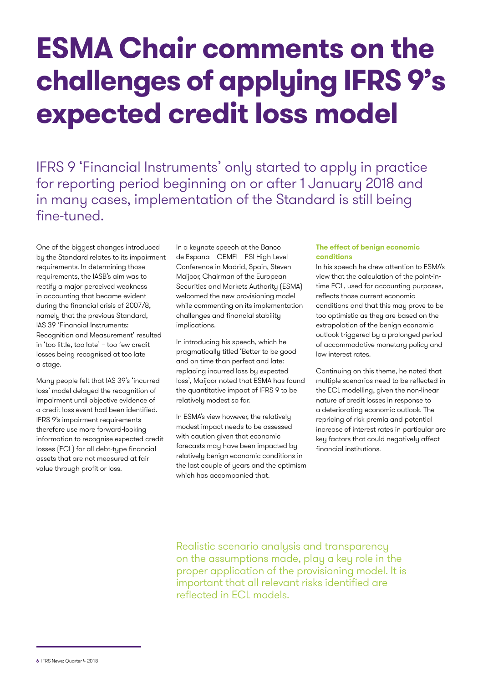### **ESMA Chair comments on the challenges of applying IFRS 9's expected credit loss model**

IFRS 9 'Financial Instruments' only started to apply in practice for reporting period beginning on or after 1 January 2018 and in many cases, implementation of the Standard is still being fine-tuned.

One of the biggest changes introduced by the Standard relates to its impairment requirements. In determining those requirements, the IASB's aim was to rectify a major perceived weakness in accounting that became evident during the financial crisis of 2007/8, namely that the previous Standard, IAS 39 'Financial Instruments: Recognition and Measurement' resulted in 'too little, too late' – too few credit losses being recognised at too late a stage.

Many people felt that IAS 39's 'incurred loss' model delayed the recognition of impairment until objective evidence of a credit loss event had been identified. IFRS 9's impairment requirements therefore use more forward-looking information to recognise expected credit losses (ECL) for all debt-type financial assets that are not measured at fair value through profit or loss.

In a keynote speech at the Banco de Espana – CEMFI – FSI High-Level Conference in Madrid, Spain, Steven Maijoor, Chairman of the European Securities and Markets Authority (ESMA) welcomed the new provisioning model while commenting on its implementation challenges and financial stability implications.

In introducing his speech, which he pragmatically titled 'Better to be good and on time than perfect and late: replacing incurred loss by expected loss', Maijoor noted that ESMA has found the quantitative impact of IFRS 9 to be relatively modest so far.

In ESMA's view however, the relatively modest impact needs to be assessed with caution given that economic forecasts may have been impacted by relatively benign economic conditions in the last couple of years and the optimism which has accompanied that.

#### **The effect of benign economic conditions**

In his speech he drew attention to ESMA's view that the calculation of the point-intime ECL, used for accounting purposes, reflects those current economic conditions and that this may prove to be too optimistic as they are based on the extrapolation of the benign economic outlook triggered by a prolonged period of accommodative monetary policy and low interest rates.

Continuing on this theme, he noted that multiple scenarios need to be reflected in the ECL modelling, given the non-linear nature of credit losses in response to a deteriorating economic outlook. The repricing of risk premia and potential increase of interest rates in particular are key factors that could negatively affect financial institutions.

Realistic scenario analysis and transparency on the assumptions made, play a key role in the proper application of the provisioning model. It is important that all relevant risks identified are reflected in ECL models.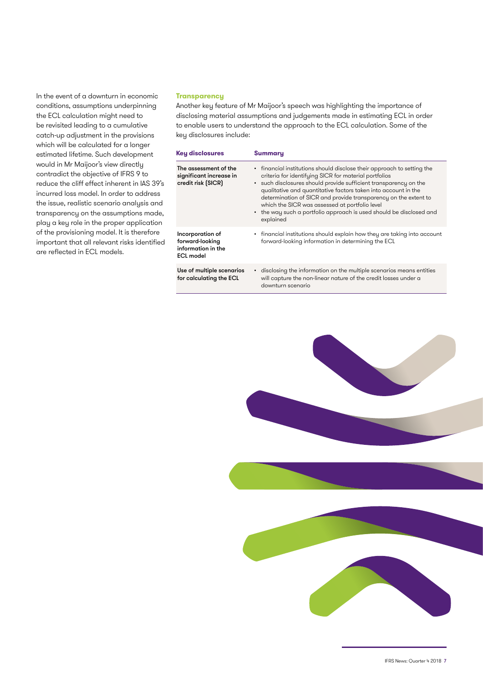In the event of a downturn in economic conditions, assumptions underpinning the ECL calculation might need to be revisited leading to a cumulative catch-up adjustment in the provisions which will be calculated for a longer estimated lifetime. Such development would in Mr Maijoor's view directly contradict the objective of IFRS 9 to reduce the cliff effect inherent in IAS 39's incurred loss model. In order to address the issue, realistic scenario analysis and transparency on the assumptions made, play a key role in the proper application of the provisioning model. It is therefore important that all relevant risks identified are reflected in ECL models.

#### **Transparency**

Another key feature of Mr Maijoor's speech was highlighting the importance of disclosing material assumptions and judgements made in estimating ECL in order to enable users to understand the approach to the ECL calculation. Some of the key disclosures include:

| <b>Key disclosures</b>                                                        | Summary                                                                                                                                                                                                                                                                                                                                                                                                                                                                        |
|-------------------------------------------------------------------------------|--------------------------------------------------------------------------------------------------------------------------------------------------------------------------------------------------------------------------------------------------------------------------------------------------------------------------------------------------------------------------------------------------------------------------------------------------------------------------------|
| The assessment of the<br>significant increase in<br>credit risk (SICR)        | • financial institutions should disclose their approach to setting the<br>criteria for identifying SICR for material portfolios<br>• such disclosures should provide sufficient transparency on the<br>qualitative and quantitative factors taken into account in the<br>determination of SICR and provide transparency on the extent to<br>which the SICR was assessed at portfolio level<br>• the way such a portfolio approach is used should be disclosed and<br>explained |
| Incorporation of<br>forward-looking<br>information in the<br><b>ECL model</b> | • financial institutions should explain how they are taking into account<br>forward-looking information in determining the ECL                                                                                                                                                                                                                                                                                                                                                 |
| Use of multiple scenarios<br>for calculating the ECL                          | • disclosing the information on the multiple scenarios means entities<br>will capture the non-linear nature of the credit losses under a<br>downturn scenario                                                                                                                                                                                                                                                                                                                  |

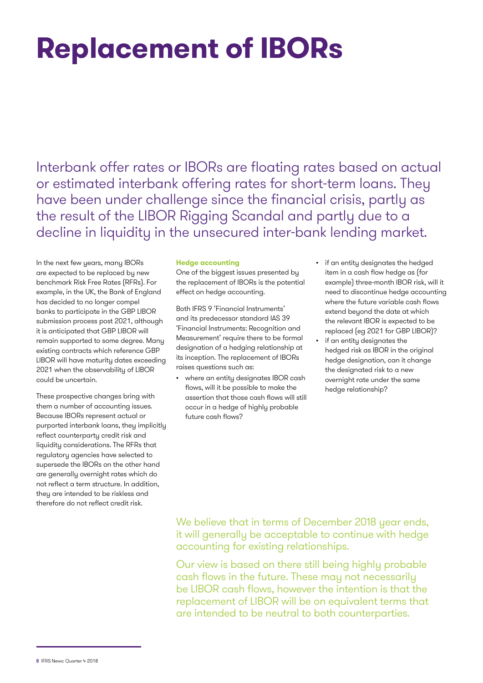## **Replacement of IBORs**

Interbank offer rates or IBORs are floating rates based on actual or estimated interbank offering rates for short-term loans. They have been under challenge since the financial crisis, partly as the result of the LIBOR Rigging Scandal and partly due to a decline in liquidity in the unsecured inter-bank lending market.

In the next few years, many IBORs are expected to be replaced by new benchmark Risk Free Rates (RFRs). For example, in the UK, the Bank of England has decided to no longer compel banks to participate in the GBP LIBOR submission process post 2021, although it is anticipated that GBP LIBOR will remain supported to some degree. Many existing contracts which reference GBP LIBOR will have maturity dates exceeding 2021 when the observability of LIBOR could be uncertain.

These prospective changes bring with them a number of accounting issues. Because IBORs represent actual or purported interbank loans, they implicitly reflect counterparty credit risk and liquidity considerations. The RFRs that regulatory agencies have selected to supersede the IBORs on the other hand are generally overnight rates which do not reflect a term structure. In addition, they are intended to be riskless and therefore do not reflect credit risk.

#### **Hedge accounting**

One of the biggest issues presented by the replacement of IBORs is the potential effect on hedge accounting.

Both IFRS 9 'Financial Instruments' and its predecessor standard IAS 39 'Financial Instruments: Recognition and Measurement' require there to be formal designation of a hedging relationship at its inception. The replacement of IBORs raises questions such as:

- where an entity designates IBOR cash flows, will it be possible to make the assertion that those cash flows will still occur in a hedge of highly probable future cash flows?
- if an entity designates the hedged item in a cash flow hedge as (for example) three-month IBOR risk, will it need to discontinue hedge accounting where the future variable cash flows extend beyond the date at which the relevant IBOR is expected to be replaced (eg 2021 for GBP LIBOR)?
- if an entity designates the hedged risk as IBOR in the original hedge designation, can it change the designated risk to a new overnight rate under the same hedge relationship?

We believe that in terms of December 2018 year ends, it will generally be acceptable to continue with hedge accounting for existing relationships.

Our view is based on there still being highly probable cash flows in the future. These may not necessarily be LIBOR cash flows, however the intention is that the replacement of LIBOR will be on equivalent terms that are intended to be neutral to both counterparties.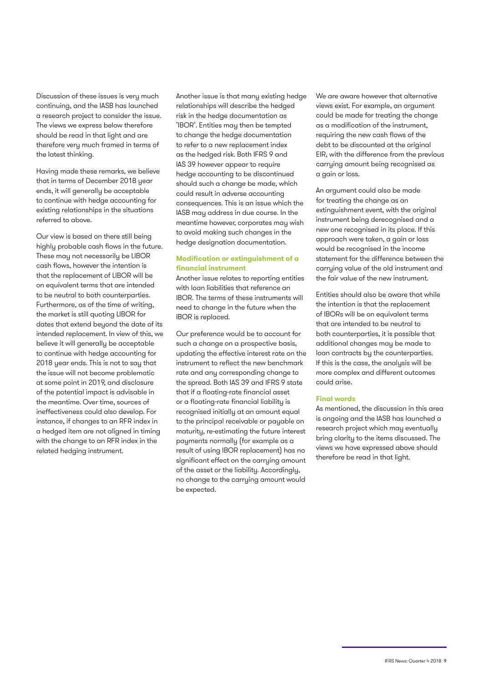Discussion of these issues is very much continuing, and the IASB has launched a research project to consider the issue. The views we express below therefore should be read in that light and are therefore very much framed in terms of the latest thinking.

Having made these remarks, we believe that in terms of December 2018 year ends, it will generally be acceptable to continue with hedge accounting for existing relationships in the situations referred to above.

Our view is based on there still being highly probable cash flows in the future. These may not necessarily be LIBOR cash flows, however the intention is that the replacement of LIBOR will be on equivalent terms that are intended to be neutral to both counterparties. Furthermore, as of the time of writing, the market is still quoting LIBOR for dates that extend beyond the date of its intended replacement. In view of this, we believe it will generally be acceptable to continue with hedge accounting for 2018 year ends. This is not to say that the issue will not become problematic at some point in 2019, and disclosure of the potential impact is advisable in the meantime. Over time, sources of ineffectiveness could also develop. For instance, if changes to an RFR index in a hedged item are not aligned in timing with the change to an RFR index in the related hedging instrument.

Another issue is that many existing hedge relationships will describe the hedged risk in the hedge documentation as 'IBOR'. Entities may then be tempted to change the hedge documentation to refer to a new replacement index as the hedged risk. Both IFRS 9 and IAS 39 however appear to require hedge accounting to be discontinued should such a change be made, which could result in adverse accounting consequences. This is an issue which the IASB may address in due course. In the meantime however, corporates may wish to avoid making such changes in the hedge designation documentation.

#### **Modification or extinguishment of a financial instrument**

Another issue relates to reporting entities with loan liabilities that reference an IBOR. The terms of these instruments will need to change in the future when the IBOR is replaced.

Our preference would be to account for such a change on a prospective basis, updating the effective interest rate on the instrument to reflect the new benchmark rate and any corresponding change to the spread. Both IAS 39 and IFRS 9 state that if a floating-rate financial asset or a floating-rate financial liability is recognised initially at an amount equal to the principal receivable or payable on maturity, re-estimating the future interest payments normally (for example as a result of using IBOR replacement) has no significant effect on the carrying amount of the asset or the liability. Accordingly, no change to the carrying amount would be expected.

We are aware however that alternative views exist. For example, an argument could be made for treating the change as a modification of the instrument, requiring the new cash flows of the debt to be discounted at the original EIR, with the difference from the previous carrying amount being recognised as a gain or loss.

An argument could also be made for treating the change as an extinguishment event, with the original instrument being derecognised and a new one recognised in its place. If this approach were taken, a gain or loss would be recognised in the income statement for the difference between the carrying value of the old instrument and the fair value of the new instrument.

Entities should also be aware that while the intention is that the replacement of IBORs will be on equivalent terms that are intended to be neutral to both counterparties, it is possible that additional changes may be made to loan contracts by the counterparties. If this is the case, the analysis will be more complex and different outcomes could arise.

#### **Final words**

As mentioned, the discussion in this area is ongoing and the IASB has launched a research project which may eventually bring clarity to the items discussed. The views we have expressed above should therefore be read in that light.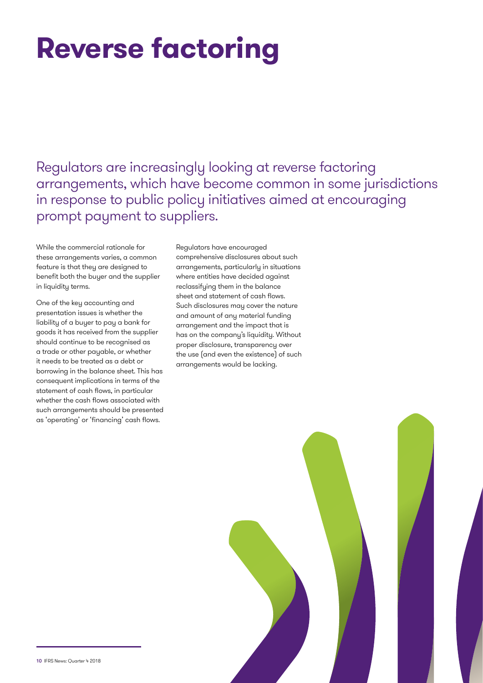## **Reverse factoring**

Regulators are increasingly looking at reverse factoring arrangements, which have become common in some jurisdictions in response to public policy initiatives aimed at encouraging prompt payment to suppliers.

While the commercial rationale for these arrangements varies, a common feature is that they are designed to benefit both the buyer and the supplier in liquidity terms.

One of the key accounting and presentation issues is whether the liability of a buyer to pay a bank for goods it has received from the supplier should continue to be recognised as a trade or other payable, or whether it needs to be treated as a debt or borrowing in the balance sheet. This has consequent implications in terms of the statement of cash flows, in particular whether the cash flows associated with such arrangements should be presented as 'operating' or 'financing' cash flows.

Regulators have encouraged comprehensive disclosures about such arrangements, particularly in situations where entities have decided against reclassifying them in the balance sheet and statement of cash flows. Such disclosures may cover the nature and amount of any material funding arrangement and the impact that is has on the company's liquidity. Without proper disclosure, transparency over the use (and even the existence) of such arrangements would be lacking.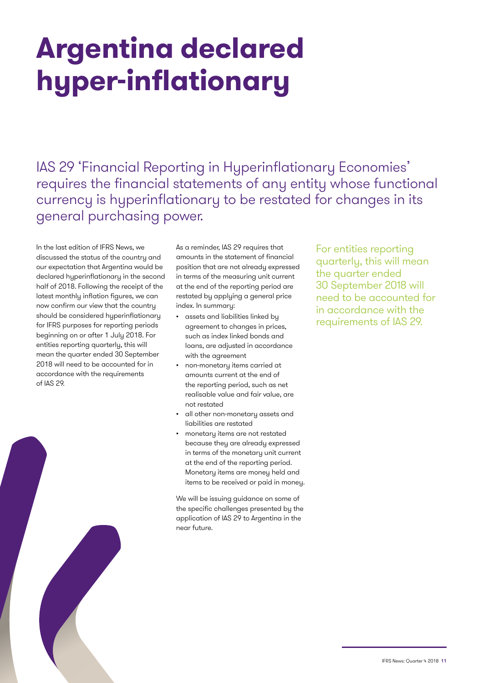## **Argentina declared hyper-inflationary**

IAS 29 'Financial Reporting in Hyperinflationary Economies' requires the financial statements of any entity whose functional currency is hyperinflationary to be restated for changes in its general purchasing power.

In the last edition of IFRS News, we discussed the status of the country and our expectation that Argentina would be declared hyperinflationary in the second half of 2018. Following the receipt of the latest monthly inflation figures, we can now confirm our view that the country should be considered hyperinflationary for IFRS purposes for reporting periods beginning on or after 1 July 2018. For entities reporting quarterly, this will mean the quarter ended 30 September 2018 will need to be accounted for in accordance with the requirements of IAS 29.

As a reminder, IAS 29 requires that amounts in the statement of financial position that are not already expressed in terms of the measuring unit current at the end of the reporting period are restated by applying a general price index. In summary:

- assets and liabilities linked by agreement to changes in prices, such as index linked bonds and loans, are adjusted in accordance with the agreement
- non-monetary items carried at amounts current at the end of the reporting period, such as net realisable value and fair value, are not restated
- all other non-monetary assets and liabilities are restated
- monetary items are not restated because they are already expressed in terms of the monetary unit current at the end of the reporting period. Monetary items are money held and items to be received or paid in money.

We will be issuing guidance on some of the specific challenges presented by the application of IAS 29 to Argentina in the near future.

For entities reporting quarterly, this will mean the quarter ended 30 September 2018 will need to be accounted for in accordance with the requirements of IAS 29.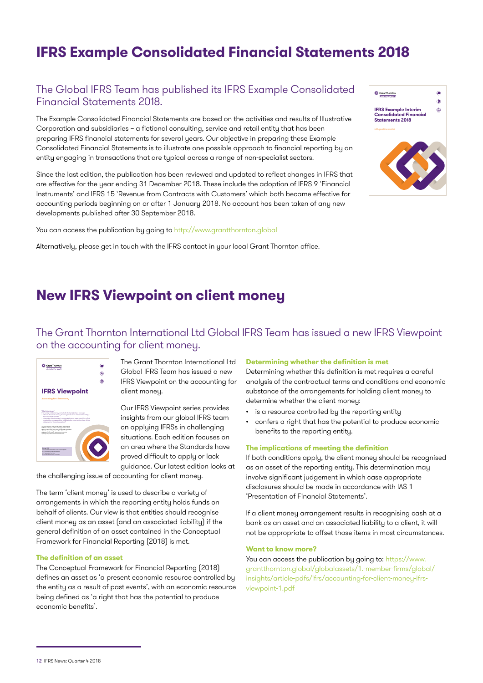### **IFRS Example Consolidated Financial Statements 2018**

#### The Global IFRS Team has published its IFRS Example Consolidated Financial Statements 2018.

The Example Consolidated Financial Statements are based on the activities and results of Illustrative Corporation and subsidiaries – a fictional consulting, service and retail entity that has been preparing IFRS financial statements for several years. Our objective in preparing these Example Consolidated Financial Statements is to illustrate one possible approach to financial reporting by an entity engaging in transactions that are typical across a range of non-specialist sectors.

Since the last edition, the publication has been reviewed and updated to reflect changes in IFRS that are effective for the year ending 31 December 2018. These include the adoption of IFRS 9 'Financial Instruments' and IFRS 15 'Revenue from Contracts with Customers' which both became effective for accounting periods beginning on or after 1 January 2018. No account has been taken of any new developments published after 30 September 2018.

You can access the publication by going to http://www.grantthornton.global

Alternatively, please get in touch with the IFRS contact in your local Grant Thornton office.



### **New IFRS Viewpoint on client money**

#### The Grant Thornton International Ltd Global IFRS Team has issued a new IFRS Viewpoint on the accounting for client money.



The Grant Thornton International Ltd Global IFRS Team has issued a new IFRS Viewpoint on the accounting for client money.

Our IFRS Viewpoint series provides insights from our global IFRS team on applying IFRSs in challenging situations. Each edition focuses on an area where the Standards have proved difficult to apply or lack guidance. Our latest edition looks at

the challenging issue of accounting for client money.

The term 'client money' is used to describe a variety of arrangements in which the reporting entity holds funds on behalf of clients. Our view is that entities should recognise client money as an asset (and an associated liability) if the general definition of an asset contained in the Conceptual Framework for Financial Reporting (2018) is met.

#### **The definition of an asset**

The Conceptual Framework for Financial Reporting (2018) defines an asset as 'a present economic resource controlled by the entity as a result of past events', with an economic resource being defined as 'a right that has the potential to produce economic benefits'.

#### **Determining whether the definition is met**

Determining whether this definition is met requires a careful analysis of the contractual terms and conditions and economic substance of the arrangements for holding client money to determine whether the client money:

- is a resource controlled by the reporting entity
- confers a right that has the potential to produce economic benefits to the reporting entity.

#### **The implications of meeting the definition**

If both conditions apply, the client money should be recognised as an asset of the reporting entity. This determination may involve significant judgement in which case appropriate disclosures should be made in accordance with IAS 1 'Presentation of Financial Statements'.

If a client money arrangement results in recognising cash at a bank as an asset and an associated liability to a client, it will not be appropriate to offset those items in most circumstances.

#### **Want to know more?**

You can access the publication by going to: https://www. grantthornton.global/globalassets/1.-member-firms/global/ insights/article-pdfs/ifrs/accounting-for-client-money-ifrsviewpoint-1.pdf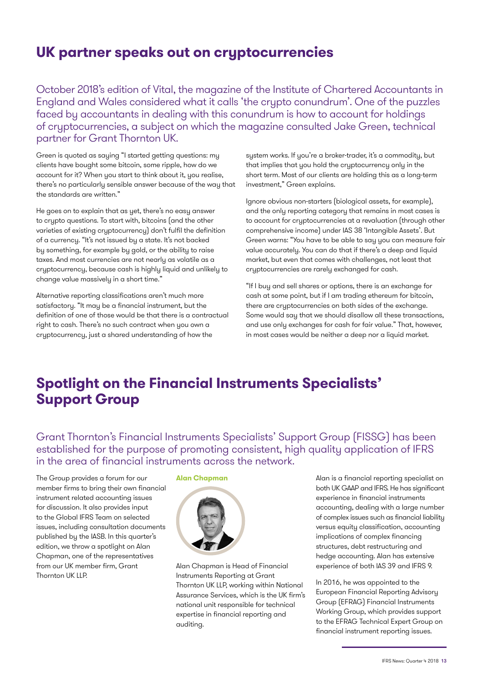### **UK partner speaks out on cryptocurrencies**

October 2018's edition of Vital, the magazine of the Institute of Chartered Accountants in England and Wales considered what it calls 'the crypto conundrum'. One of the puzzles faced by accountants in dealing with this conundrum is how to account for holdings of cryptocurrencies, a subject on which the magazine consulted Jake Green, technical partner for Grant Thornton UK.

Green is quoted as saying "I started getting questions: my clients have bought some bitcoin, some ripple, how do we account for it? When you start to think about it, you realise, there's no particularly sensible answer because of the way that the standards are written."

He goes on to explain that as yet, there's no easy answer to crypto questions. To start with, bitcoins (and the other varieties of existing cryptocurrency) don't fulfil the definition of a currency. "It's not issued by a state. It's not backed by something, for example by gold, or the ability to raise taxes. And most currencies are not nearly as volatile as a cryptocurrency, because cash is highly liquid and unlikely to change value massively in a short time."

Alternative reporting classifications aren't much more satisfactory. "It may be a financial instrument, but the definition of one of those would be that there is a contractual right to cash. There's no such contract when you own a cryptocurrency, just a shared understanding of how the

system works. If you're a broker-trader, it's a commodity, but that implies that you hold the cryptocurrency only in the short term. Most of our clients are holding this as a long-term investment," Green explains.

Ignore obvious non-starters (biological assets, for example), and the only reporting category that remains in most cases is to account for cryptocurrencies at a revaluation (through other comprehensive income) under IAS 38 'Intangible Assets'. But Green warns: "You have to be able to say you can measure fair value accurately. You can do that if there's a deep and liquid market, but even that comes with challenges, not least that cryptocurrencies are rarely exchanged for cash.

"If I buy and sell shares or options, there is an exchange for cash at some point, but if I am trading ethereum for bitcoin, there are cryptocurrencies on both sides of the exchange. Some would say that we should disallow all these transactions, and use only exchanges for cash for fair value." That, however, in most cases would be neither a deep nor a liquid market.

### **Spotlight on the Financial Instruments Specialists' Support Group**

Grant Thornton's Financial Instruments Specialists' Support Group (FISSG) has been established for the purpose of promoting consistent, high quality application of IFRS in the area of financial instruments across the network.

The Group provides a forum for our member firms to bring their own financial instrument related accounting issues for discussion. It also provides input to the Global IFRS Team on selected issues, including consultation documents published by the IASB. In this quarter's edition, we throw a spotlight on Alan Chapman, one of the representatives from our UK member firm, Grant Thornton UK LLP.

#### **Alan Chapman**



Alan Chapman is Head of Financial Instruments Reporting at Grant Thornton UK LLP, working within National Assurance Services, which is the UK firm's national unit responsible for technical expertise in financial reporting and auditing.

Alan is a financial reporting specialist on both UK GAAP and IFRS. He has significant experience in financial instruments accounting, dealing with a large number of complex issues such as financial liability versus equity classification, accounting implications of complex financing structures, debt restructuring and hedge accounting. Alan has extensive experience of both IAS 39 and IFRS 9.

In 2016, he was appointed to the European Financial Reporting Advisory Group (EFRAG) Financial Instruments Working Group, which provides support to the EFRAG Technical Expert Group on financial instrument reporting issues.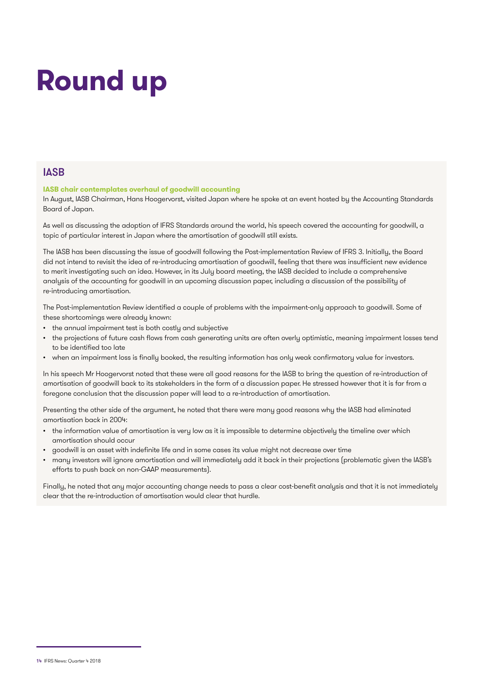## **Round up**

#### **IASB**

#### **IASB chair contemplates overhaul of goodwill accounting**

In August, IASB Chairman, Hans Hoogervorst, visited Japan where he spoke at an event hosted by the Accounting Standards Board of Japan.

As well as discussing the adoption of IFRS Standards around the world, his speech covered the accounting for goodwill, a topic of particular interest in Japan where the amortisation of goodwill still exists.

The IASB has been discussing the issue of goodwill following the Post-implementation Review of IFRS 3. Initially, the Board did not intend to revisit the idea of re-introducing amortisation of goodwill, feeling that there was insufficient new evidence to merit investigating such an idea. However, in its July board meeting, the IASB decided to include a comprehensive analysis of the accounting for goodwill in an upcoming discussion paper, including a discussion of the possibility of re-introducing amortisation.

The Post-implementation Review identified a couple of problems with the impairment-only approach to goodwill. Some of these shortcomings were already known:

- the annual impairment test is both costly and subjective
- the projections of future cash flows from cash generating units are often overly optimistic, meaning impairment losses tend to be identified too late
- when an impairment loss is finally booked, the resulting information has only weak confirmatory value for investors.

In his speech Mr Hoogervorst noted that these were all good reasons for the IASB to bring the question of re-introduction of amortisation of goodwill back to its stakeholders in the form of a discussion paper. He stressed however that it is far from a foregone conclusion that the discussion paper will lead to a re-introduction of amortisation.

Presenting the other side of the argument, he noted that there were many good reasons why the IASB had eliminated amortisation back in 2004:

- the information value of amortisation is very low as it is impossible to determine objectively the timeline over which amortisation should occur
- goodwill is an asset with indefinite life and in some cases its value might not decrease over time
- many investors will ignore amortisation and will immediately add it back in their projections (problematic given the IASB's efforts to push back on non-GAAP measurements).

Finally, he noted that any major accounting change needs to pass a clear cost-benefit analysis and that it is not immediately clear that the re-introduction of amortisation would clear that hurdle.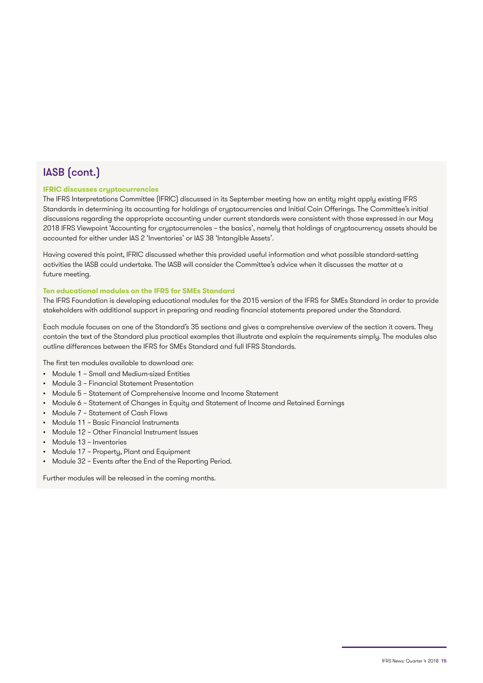### IASB (cont.)

#### **IFRIC discusses cryptocurrencies**

The IFRS Interpretations Committee (IFRIC) discussed in its September meeting how an entity might apply existing IFRS Standards in determining its accounting for holdings of cryptocurrencies and Initial Coin Offerings. The Committee's initial discussions regarding the appropriate accounting under current standards were consistent with those expressed in our May 2018 IFRS Viewpoint 'Accounting for cryptocurrencies – the basics', namely that holdings of cryptocurrency assets should be accounted for either under IAS 2 'Inventories' or IAS 38 'Intangible Assets'.

Having covered this point, IFRIC discussed whether this provided useful information and what possible standard-setting activities the IASB could undertake. The IASB will consider the Committee's advice when it discusses the matter at a future meeting.

#### **Ten educational modules on the IFRS for SMEs Standard**

The IFRS Foundation is developing educational modules for the 2015 version of the IFRS for SMEs Standard in order to provide stakeholders with additional support in preparing and reading financial statements prepared under the Standard.

Each module focuses on one of the Standard's 35 sections and gives a comprehensive overview of the section it covers. They contain the text of the Standard plus practical examples that illustrate and explain the requirements simply. The modules also outline differences between the IFRS for SMEs Standard and full IFRS Standards.

The first ten modules available to download are:

- Module 1 Small and Medium-sized Entities
- Module 3 Financial Statement Presentation
- Module 5 Statement of Comprehensive Income and Income Statement
- Module 6 Statement of Changes in Equity and Statement of Income and Retained Earnings
- Module 7 Statement of Cash Flows
- Module 11 Basic Financial Instruments
- Module 12 Other Financial Instrument Issues
- Module 13 Inventories
- Module 17 Property, Plant and Equipment
- Module 32 Events after the End of the Reporting Period.

Further modules will be released in the coming months.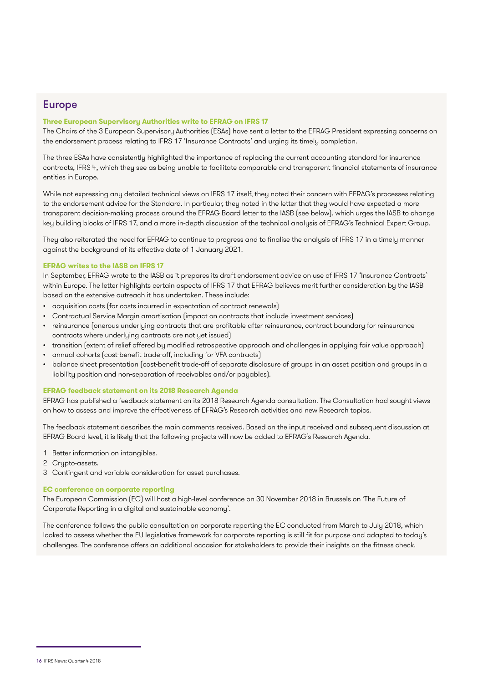#### Europe

#### **Three European Supervisory Authorities write to EFRAG on IFRS 17**

The Chairs of the 3 European Supervisory Authorities (ESAs) have sent a letter to the EFRAG President expressing concerns on the endorsement process relating to IFRS 17 'Insurance Contracts' and urging its timely completion.

The three ESAs have consistently highlighted the importance of replacing the current accounting standard for insurance contracts, IFRS 4, which they see as being unable to facilitate comparable and transparent financial statements of insurance entities in Europe.

While not expressing any detailed technical views on IFRS 17 itself, they noted their concern with EFRAG's processes relating to the endorsement advice for the Standard. In particular, they noted in the letter that they would have expected a more transparent decision-making process around the EFRAG Board letter to the IASB (see below), which urges the IASB to change key building blocks of IFRS 17, and a more in-depth discussion of the technical analysis of EFRAG's Technical Expert Group.

They also reiterated the need for EFRAG to continue to progress and to finalise the analysis of IFRS 17 in a timely manner against the background of its effective date of 1 January 2021.

#### **EFRAG writes to the IASB on IFRS 17**

In September, EFRAG wrote to the IASB as it prepares its draft endorsement advice on use of IFRS 17 'Insurance Contracts' within Europe. The letter highlights certain aspects of IFRS 17 that EFRAG believes merit further consideration by the IASB based on the extensive outreach it has undertaken. These include:

- acquisition costs (for costs incurred in expectation of contract renewals)
- Contractual Service Margin amortisation (impact on contracts that include investment services)
- reinsurance (onerous underlying contracts that are profitable after reinsurance, contract boundary for reinsurance contracts where underlying contracts are not yet issued)
- transition (extent of relief offered by modified retrospective approach and challenges in applying fair value approach)
- annual cohorts (cost-benefit trade-off, including for VFA contracts)
- balance sheet presentation (cost-benefit trade-off of separate disclosure of groups in an asset position and groups in a liability position and non-separation of receivables and/or payables).

#### **EFRAG feedback statement on its 2018 Research Agenda**

EFRAG has published a feedback statement on its 2018 Research Agenda consultation. The Consultation had sought views on how to assess and improve the effectiveness of EFRAG's Research activities and new Research topics.

The feedback statement describes the main comments received. Based on the input received and subsequent discussion at EFRAG Board level, it is likely that the following projects will now be added to EFRAG's Research Agenda.

- 1 Better information on intangibles.
- 2 Crypto-assets.
- 3 Contingent and variable consideration for asset purchases.

#### **EC conference on corporate reporting**

The European Commission (EC) will host a high-level conference on 30 November 2018 in Brussels on 'The Future of Corporate Reporting in a digital and sustainable economy'.

The conference follows the public consultation on corporate reporting the EC conducted from March to July 2018, which looked to assess whether the EU legislative framework for corporate reporting is still fit for purpose and adapted to today's challenges. The conference offers an additional occasion for stakeholders to provide their insights on the fitness check.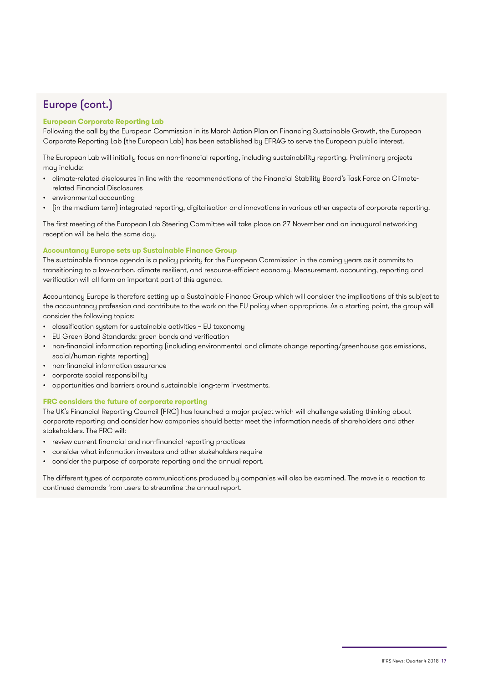### Europe (cont.)

#### **European Corporate Reporting Lab**

Following the call by the European Commission in its March Action Plan on Financing Sustainable Growth, the European Corporate Reporting Lab (the European Lab) has been established by EFRAG to serve the European public interest.

The European Lab will initially focus on non-financial reporting, including sustainability reporting. Preliminary projects may include:

- climate-related disclosures in line with the recommendations of the Financial Stability Board's Task Force on Climaterelated Financial Disclosures
- environmental accounting
- (in the medium term) integrated reporting, digitalisation and innovations in various other aspects of corporate reporting.

The first meeting of the European Lab Steering Committee will take place on 27 November and an inaugural networking reception will be held the same day.

#### **Accountancy Europe sets up Sustainable Finance Group**

The sustainable finance agenda is a policy priority for the European Commission in the coming years as it commits to transitioning to a low-carbon, climate resilient, and resource-efficient economy. Measurement, accounting, reporting and verification will all form an important part of this agenda.

Accountancy Europe is therefore setting up a Sustainable Finance Group which will consider the implications of this subject to the accountancy profession and contribute to the work on the EU policy when appropriate. As a starting point, the group will consider the following topics:

- classification system for sustainable activities EU taxonomy
- EU Green Bond Standards: green bonds and verification
- non-financial information reporting (including environmental and climate change reporting/greenhouse gas emissions, social/human rights reporting)
- non-financial information assurance
- corporate social responsibility
- opportunities and barriers around sustainable long-term investments.

#### **FRC considers the future of corporate reporting**

The UK's Financial Reporting Council (FRC) has launched a major project which will challenge existing thinking about corporate reporting and consider how companies should better meet the information needs of shareholders and other stakeholders. The FRC will:

- review current financial and non-financial reporting practices
- consider what information investors and other stakeholders require
- consider the purpose of corporate reporting and the annual report.

The different types of corporate communications produced by companies will also be examined. The move is a reaction to continued demands from users to streamline the annual report.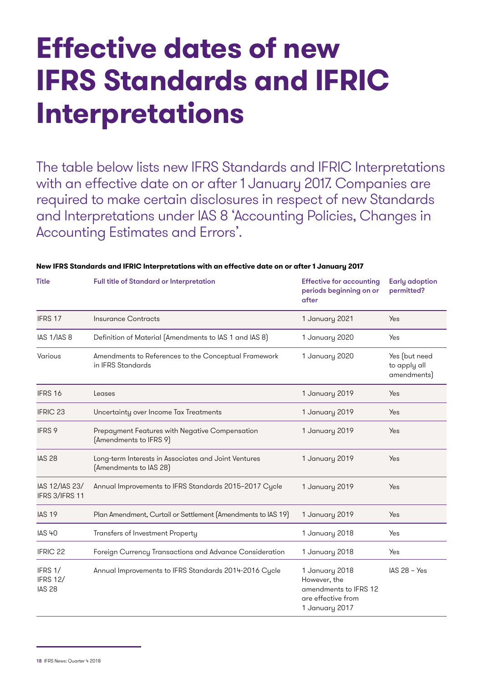## **Effective dates of new IFRS Standards and IFRIC Interpretations**

The table below lists new IFRS Standards and IFRIC Interpretations with an effective date on or after 1 January 2017. Companies are required to make certain disclosures in respect of new Standards and Interpretations under IAS 8 'Accounting Policies, Changes in Accounting Estimates and Errors'.

| <b>Title</b>                                | Full title of Standard or Interpretation                                       | <b>Effective for accounting</b><br>periods beginning on or<br>after                             | <b>Early adoption</b><br>permitted?          |
|---------------------------------------------|--------------------------------------------------------------------------------|-------------------------------------------------------------------------------------------------|----------------------------------------------|
| IFRS 17                                     | <b>Insurance Contracts</b>                                                     | 1 January 2021                                                                                  | Yes                                          |
| IAS 1/IAS 8                                 | Definition of Material (Amendments to IAS 1 and IAS 8)                         | 1 January 2020                                                                                  | Yes                                          |
| Various                                     | Amendments to References to the Conceptual Framework<br>in IFRS Standards      | 1 January 2020                                                                                  | Yes (but need<br>to apply all<br>amendments) |
| IFRS 16                                     | Leases                                                                         | 1 January 2019                                                                                  | Yes                                          |
| <b>IFRIC 23</b>                             | Uncertainty over Income Tax Treatments                                         | 1 January 2019                                                                                  | Yes                                          |
| <b>IFRS 9</b>                               | Prepayment Features with Negative Compensation<br>(Amendments to IFRS 9)       | 1 January 2019                                                                                  | Yes                                          |
| <b>IAS 28</b>                               | Long-term Interests in Associates and Joint Ventures<br>[Amendments to IAS 28] | 1 January 2019                                                                                  | Yes                                          |
| IAS 12/IAS 23/<br>IFRS 3/IFRS 11            | Annual Improvements to IFRS Standards 2015-2017 Cycle                          | 1 January 2019                                                                                  | Yes                                          |
| <b>IAS 19</b>                               | Plan Amendment, Curtail or Settlement (Amendments to IAS 19)                   | 1 January 2019                                                                                  | Yes                                          |
| <b>IAS 40</b>                               | Transfers of Investment Property                                               | 1 January 2018                                                                                  | Yes                                          |
| <b>IFRIC 22</b>                             | Foreign Currency Transactions and Advance Consideration                        | 1 January 2018                                                                                  | Yes                                          |
| IFRS 1/<br><b>IFRS 12/</b><br><b>IAS 28</b> | Annual Improvements to IFRS Standards 2014-2016 Cycle                          | 1 January 2018<br>However, the<br>amendments to IFRS 12<br>are effective from<br>1 January 2017 | $IAS 28 - Yes$                               |

#### **New IFRS Standards and IFRIC Interpretations with an effective date on or after 1 January 2017**

<sup>18</sup> IFRS News: Quarter 4 2018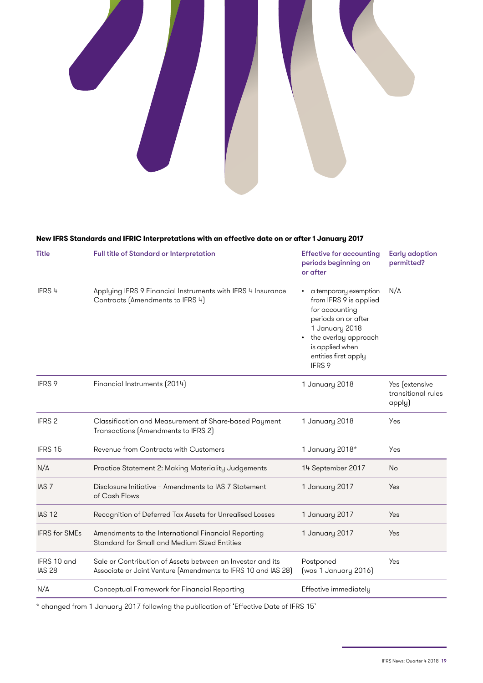

#### **New IFRS Standards and IFRIC Interpretations with an effective date on or after 1 January 2017**

| <b>Title</b>                 | Full title of Standard or Interpretation                                                                                    | <b>Effective for accounting</b><br>periods beginning on<br>or after                                                                                                                       | <b>Early adoption</b><br>permitted?            |
|------------------------------|-----------------------------------------------------------------------------------------------------------------------------|-------------------------------------------------------------------------------------------------------------------------------------------------------------------------------------------|------------------------------------------------|
| IFRS 4                       | Applying IFRS 9 Financial Instruments with IFRS 4 Insurance<br>Contracts (Amendments to IFRS 4)                             | a temporary exemption<br>from IFRS 9 is applied<br>for accounting<br>periods on or after<br>1 January 2018<br>• the overlay approach<br>is applied when<br>entities first apply<br>IFRS 9 | N/A                                            |
| <b>IFRS 9</b>                | Financial Instruments (2014)                                                                                                | 1 January 2018                                                                                                                                                                            | Yes (extensive<br>transitional rules<br>apply) |
| IFRS <sub>2</sub>            | Classification and Measurement of Share-based Payment<br>Transactions (Amendments to IFRS 2)                                | 1 January 2018                                                                                                                                                                            | Yes                                            |
| IFRS 15                      | Revenue from Contracts with Customers                                                                                       | 1 January 2018*                                                                                                                                                                           | Yes                                            |
| N/A                          | Practice Statement 2: Making Materiality Judgements                                                                         | 14 September 2017                                                                                                                                                                         | <b>No</b>                                      |
| IAS <sub>7</sub>             | Disclosure Initiative - Amendments to IAS 7 Statement<br>of Cash Flows                                                      | 1 January 2017                                                                                                                                                                            | Yes                                            |
| <b>IAS 12</b>                | Recognition of Deferred Tax Assets for Unrealised Losses                                                                    | 1 January 2017                                                                                                                                                                            | <b>Yes</b>                                     |
| <b>IFRS</b> for SMEs         | Amendments to the International Financial Reporting<br>Standard for Small and Medium Sized Entities                         | 1 January 2017                                                                                                                                                                            | Yes                                            |
| IFRS 10 and<br><b>IAS 28</b> | Sale or Contribution of Assets between an Investor and its<br>Associate or Joint Venture (Amendments to IFRS 10 and IAS 28) | Postponed<br>(was 1 January 2016)                                                                                                                                                         | Yes                                            |
| N/A                          | Conceptual Framework for Financial Reporting                                                                                | Effective immediately                                                                                                                                                                     |                                                |

\* changed from 1 January 2017 following the publication of 'Effective Date of IFRS 15'